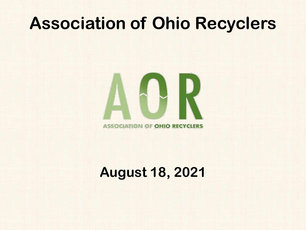### **Association of Ohio Recyclers**



### **August 18, 2021**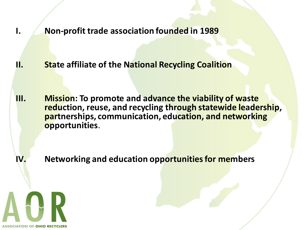**I. Non-profit trade association founded in 1989**

**II. State affiliate of the National Recycling Coalition**

**III. Mission: To promote and advance the viability of waste reduction, reuse, and recycling through statewide leadership, partnerships, communication, education, and networking opportunities**.

**IV. Networking and education opportunities for members**

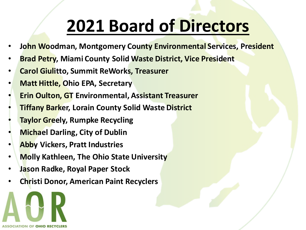## **2021 Board of Directors**

- **John Woodman, Montgomery County Environmental Services, President**
- **Brad Petry, Miami County Solid Waste District, Vice President**
- **Carol Giulitto, Summit ReWorks, Treasurer**
- **Matt Hittle, Ohio EPA, Secretary**
- **Erin Oulton, GT Environmental, Assistant Treasurer**
- **Tiffany Barker, Lorain County Solid Waste District**
- **Taylor Greely, Rumpke Recycling**
- **Michael Darling, City of Dublin**
- **Abby Vickers, Pratt Industries**
- **Molly Kathleen, The Ohio State University**
- **Jason Radke, Royal Paper Stock**
- **Christi Donor, American Paint Recyclers**

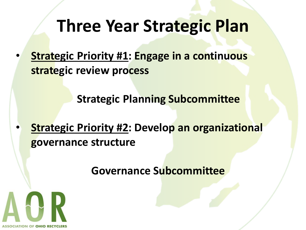## **Three Year Strategic Plan**

**Strategic Priority #1: Engage in a continuous strategic review process**

**Strategic Planning Subcommittee**

**Strategic Priority #2: Develop an organizational governance structure**

**Governance Subcommittee**

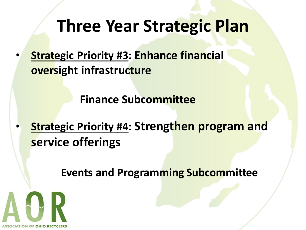## **Three Year Strategic Plan**

**Strategic Priority #3: Enhance financial oversight infrastructure**

**Finance Subcommittee**

**Strategic Priority #4: Strengthen program and service offerings**

**Events and Programming Subcommittee**

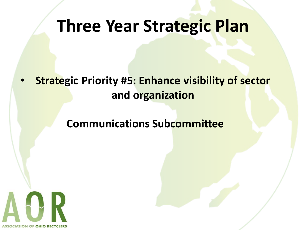### **Three Year Strategic Plan**

**Strategic Priority #5: Enhance visibility of sector and organization**

#### **Communications Subcommittee**

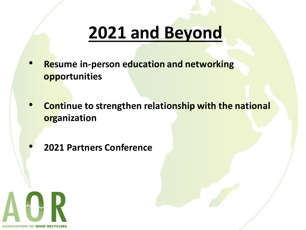## **2021 and Beyond**

- **Resume in-person education and networking opportunities**
- **Continue to strengthen relationship with the national organization**
- **2021 Partners Conference**

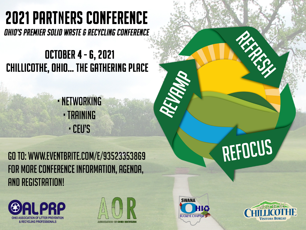# **2021 PARTNERS CONFERENCE**

OHIO'S PREMIER SOLID WASTE & RECYCLING CONFERENCE

### **OCTOBER 4 - 6, 2021 CHILLICOTHE, OHIO... THE GATHERING PLACE**

· NETWORKING · TRAINING · CEU'S

GO TO: WWW.EVENTBRITE.COM/E/93523353869 FOR MORE CONFERENCE INFORMATION, AGENDA, **AND REGISTRATION!** 









REFOCUS